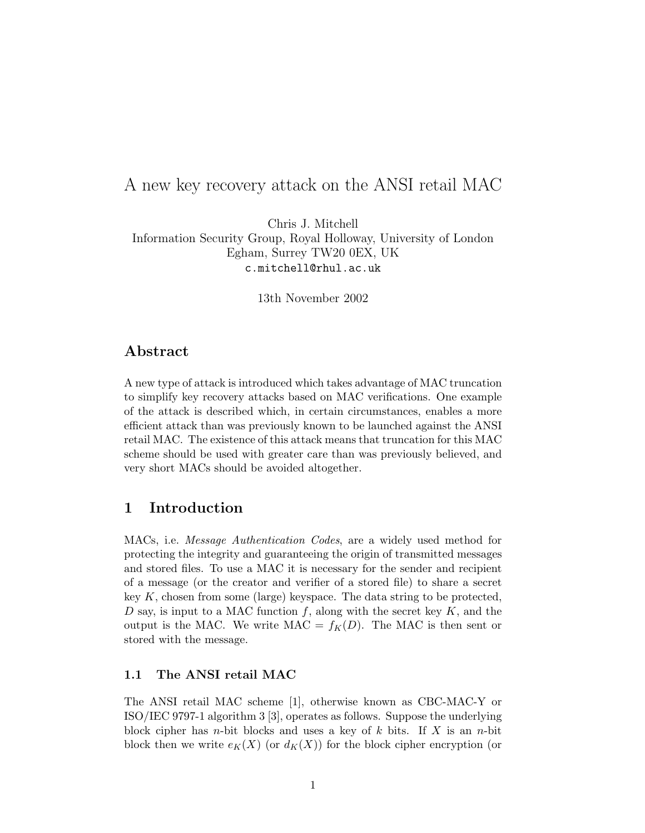# A new key recovery attack on the ANSI retail MAC

Chris J. Mitchell Information Security Group, Royal Holloway, University of London Egham, Surrey TW20 0EX, UK c.mitchell@rhul.ac.uk

13th November 2002

## Abstract

A new type of attack is introduced which takes advantage of MAC truncation to simplify key recovery attacks based on MAC verifications. One example of the attack is described which, in certain circumstances, enables a more efficient attack than was previously known to be launched against the ANSI retail MAC. The existence of this attack means that truncation for this MAC scheme should be used with greater care than was previously believed, and very short MACs should be avoided altogether.

## 1 Introduction

MACs, i.e. Message Authentication Codes, are a widely used method for protecting the integrity and guaranteeing the origin of transmitted messages and stored files. To use a MAC it is necessary for the sender and recipient of a message (or the creator and verifier of a stored file) to share a secret key  $K$ , chosen from some (large) keyspace. The data string to be protected, D say, is input to a MAC function f, along with the secret key  $K$ , and the output is the MAC. We write  $MAC = f_K(D)$ . The MAC is then sent or stored with the message.

### 1.1 The ANSI retail MAC

The ANSI retail MAC scheme [1], otherwise known as CBC-MAC-Y or ISO/IEC 9797-1 algorithm 3 [3], operates as follows. Suppose the underlying block cipher has *n*-bit blocks and uses a key of k bits. If X is an *n*-bit block then we write  $e_K(X)$  (or  $d_K(X)$ ) for the block cipher encryption (or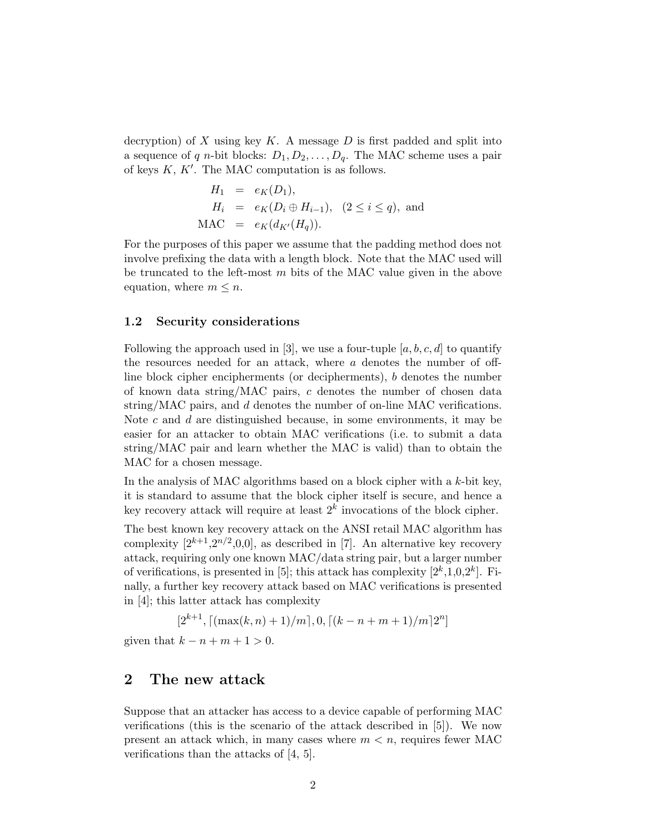decryption) of X using key K. A message D is first padded and split into a sequence of q n-bit blocks:  $D_1, D_2, \ldots, D_q$ . The MAC scheme uses a pair of keys  $K, K'$ . The MAC computation is as follows.

$$
H_1 = e_K(D_1),
$$
  
\n
$$
H_i = e_K(D_i \oplus H_{i-1}), (2 \le i \le q),
$$
 and  
\n
$$
MAC = e_K(d_{K'}(H_q)).
$$

For the purposes of this paper we assume that the padding method does not involve prefixing the data with a length block. Note that the MAC used will be truncated to the left-most  $m$  bits of the MAC value given in the above equation, where  $m \leq n$ .

#### 1.2 Security considerations

Following the approach used in [3], we use a four-tuple  $[a, b, c, d]$  to quantify the resources needed for an attack, where a denotes the number of offline block cipher encipherments (or decipherments), b denotes the number of known data string/MAC pairs, c denotes the number of chosen data string/MAC pairs, and d denotes the number of on-line MAC verifications. Note  $c$  and  $d$  are distinguished because, in some environments, it may be easier for an attacker to obtain MAC verifications (i.e. to submit a data string/MAC pair and learn whether the MAC is valid) than to obtain the MAC for a chosen message.

In the analysis of MAC algorithms based on a block cipher with a  $k$ -bit key, it is standard to assume that the block cipher itself is secure, and hence a key recovery attack will require at least  $2<sup>k</sup>$  invocations of the block cipher.

The best known key recovery attack on the ANSI retail MAC algorithm has complexity  $[2^{k+1}, 2^{n/2}, 0, 0]$ , as described in [7]. An alternative key recovery attack, requiring only one known MAC/data string pair, but a larger number of verifications, is presented in [5]; this attack has complexity  $[2^k,1,0,2^k]$ . Finally, a further key recovery attack based on MAC verifications is presented in [4]; this latter attack has complexity

 $[2^{k+1}, [(\max(k, n) + 1)/m], 0, [(k - n + m + 1)/m]2^n]$ 

given that  $k - n + m + 1 > 0$ .

## 2 The new attack

Suppose that an attacker has access to a device capable of performing MAC verifications (this is the scenario of the attack described in [5]). We now present an attack which, in many cases where  $m < n$ , requires fewer MAC verifications than the attacks of [4, 5].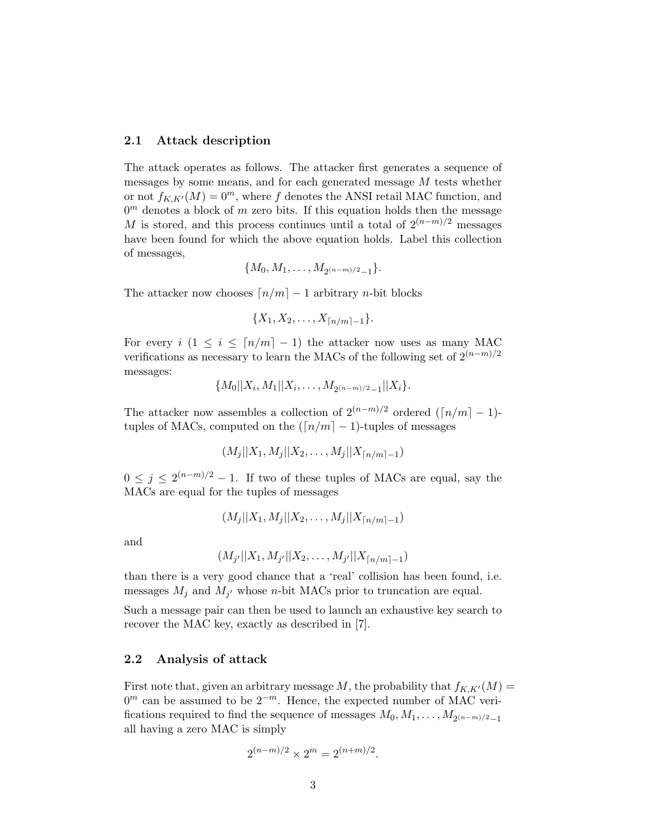#### 2.1 Attack description

The attack operates as follows. The attacker first generates a sequence of messages by some means, and for each generated message  $M$  tests whether or not  $f_{K,K'}(M) = 0^m$ , where f denotes the ANSI retail MAC function, and  $0<sup>m</sup>$  denotes a block of m zero bits. If this equation holds then the message M is stored, and this process continues until a total of  $2^{(n-m)/2}$  messages have been found for which the above equation holds. Label this collection of messages,

$$
\{M_0, M_1, \ldots, M_{2(n-m)/2-1}\}.
$$

The attacker now chooses  $\lceil n/m \rceil - 1$  arbitrary n-bit blocks

$$
\{X_1, X_2, \ldots, X_{\lceil n/m \rceil - 1}\}.
$$

For every  $i$  (1  $\leq i \leq \lceil n/m \rceil - 1$ ) the attacker now uses as many MAC verifications as necessary to learn the MACs of the following set of  $2^{(n-m)/2}$ messages:

$$
{M_0||X_i, M_1||X_i, \ldots, M_{2(n-m)/2-1}||X_i}.
$$

The attacker now assembles a collection of  $2^{(n-m)/2}$  ordered  $(\lceil n/m \rceil - 1)$ tuples of MACs, computed on the  $(\lceil n/m \rceil - 1)$ -tuples of messages

$$
(M_j||X_1, M_j||X_2, \ldots, M_j||X_{\lceil n/m \rceil - 1})
$$

 $0 \leq j \leq 2^{(n-m)/2} - 1$ . If two of these tuples of MACs are equal, say the MACs are equal for the tuples of messages

$$
(M_j||X_1, M_j||X_2, \ldots, M_j||X_{\lceil n/m \rceil - 1})
$$

and

$$
(M_{j'}||X_1, M_{j'}||X_2, \ldots, M_{j'}||X_{\lceil n/m \rceil - 1})
$$

than there is a very good chance that a 'real' collision has been found, i.e. messages  $M_j$  and  $M_{j'}$  whose *n*-bit MACs prior to truncation are equal.

Such a message pair can then be used to launch an exhaustive key search to recover the MAC key, exactly as described in [7].

#### 2.2 Analysis of attack

First note that, given an arbitrary message M, the probability that  $f_{K,K'}(M) =$  $0<sup>m</sup>$  can be assumed to be  $2<sup>-m</sup>$ . Hence, the expected number of MAC verifications required to find the sequence of messages  $M_0, M_1, \ldots, M_{2(n-m)/2}-1$ all having a zero MAC is simply

$$
2^{(n-m)/2} \times 2^m = 2^{(n+m)/2}.
$$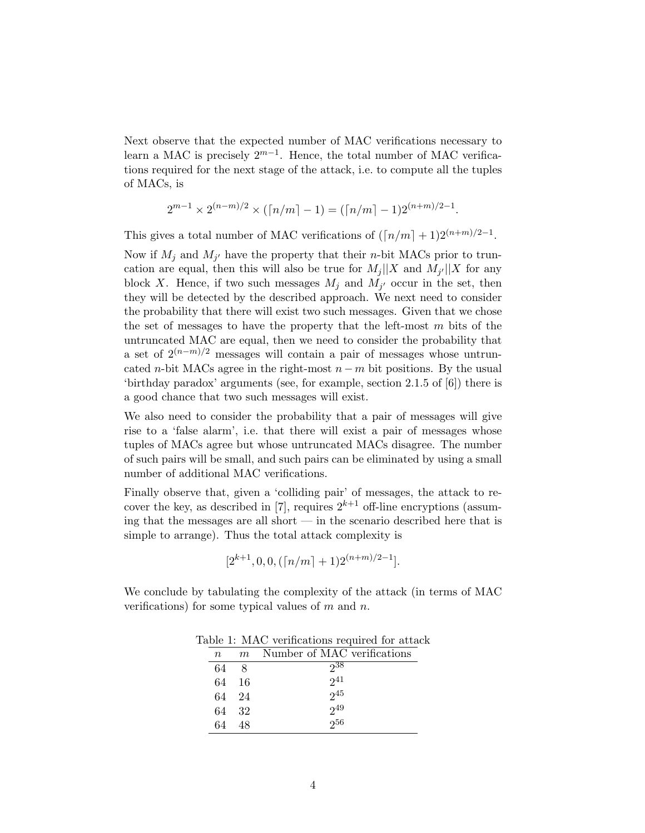Next observe that the expected number of MAC verifications necessary to learn a MAC is precisely  $2^{m-1}$ . Hence, the total number of MAC verifications required for the next stage of the attack, i.e. to compute all the tuples of MACs, is

$$
2^{m-1} \times 2^{(n-m)/2} \times (\lceil n/m \rceil - 1) = (\lceil n/m \rceil - 1) 2^{(n+m)/2 - 1}.
$$

This gives a total number of MAC verifications of  $(\lceil n/m \rceil + 1)2^{(n+m)/2-1}$ .

Now if  $M_j$  and  $M_{j'}$  have the property that their *n*-bit MACs prior to truncation are equal, then this will also be true for  $M_j||X$  and  $M_{j'}||X$  for any block X. Hence, if two such messages  $M_j$  and  $M_{j'}$  occur in the set, then they will be detected by the described approach. We next need to consider the probability that there will exist two such messages. Given that we chose the set of messages to have the property that the left-most  $m$  bits of the untruncated MAC are equal, then we need to consider the probability that a set of  $2^{(n-m)/2}$  messages will contain a pair of messages whose untruncated n-bit MACs agree in the right-most  $n - m$  bit positions. By the usual 'birthday paradox' arguments (see, for example, section 2.1.5 of [6]) there is a good chance that two such messages will exist.

We also need to consider the probability that a pair of messages will give rise to a 'false alarm', i.e. that there will exist a pair of messages whose tuples of MACs agree but whose untruncated MACs disagree. The number of such pairs will be small, and such pairs can be eliminated by using a small number of additional MAC verifications.

Finally observe that, given a 'colliding pair' of messages, the attack to recover the key, as described in [7], requires  $2^{k+1}$  off-line encryptions (assuming that the messages are all short — in the scenario described here that is simple to arrange). Thus the total attack complexity is

$$
[2^{k+1}, 0, 0, (\lceil n/m \rceil + 1)2^{(n+m)/2-1}].
$$

We conclude by tabulating the complexity of the attack (in terms of MAC verifications) for some typical values of  $m$  and  $n$ .

| able 1. MAC vernications required for atta |    |      |                             |
|--------------------------------------------|----|------|-----------------------------|
|                                            | n  | m    | Number of MAC verifications |
|                                            | 64 | -8   | 238                         |
|                                            | 64 | - 16 | $2^{41}$                    |
|                                            | 64 | 24   | 245                         |
|                                            | 64 | - 32 | $2^{49}$                    |
|                                            | 64 | 48   | 256                         |
|                                            |    |      |                             |

Table 1:  $MAC$  verifications required for attack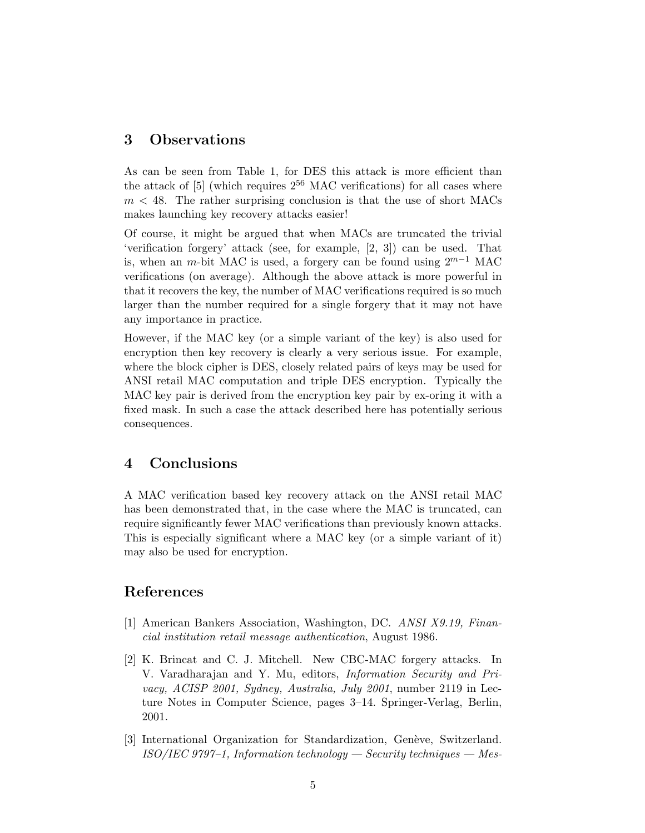### 3 Observations

As can be seen from Table 1, for DES this attack is more efficient than the attack of  $[5]$  (which requires  $2^{56}$  MAC verifications) for all cases where  $m < 48$ . The rather surprising conclusion is that the use of short MACs makes launching key recovery attacks easier!

Of course, it might be argued that when MACs are truncated the trivial 'verification forgery' attack (see, for example, [2, 3]) can be used. That is, when an m-bit MAC is used, a forgery can be found using  $2^{m-1}$  MAC verifications (on average). Although the above attack is more powerful in that it recovers the key, the number of MAC verifications required is so much larger than the number required for a single forgery that it may not have any importance in practice.

However, if the MAC key (or a simple variant of the key) is also used for encryption then key recovery is clearly a very serious issue. For example, where the block cipher is DES, closely related pairs of keys may be used for ANSI retail MAC computation and triple DES encryption. Typically the MAC key pair is derived from the encryption key pair by ex-oring it with a fixed mask. In such a case the attack described here has potentially serious consequences.

### 4 Conclusions

A MAC verification based key recovery attack on the ANSI retail MAC has been demonstrated that, in the case where the MAC is truncated, can require significantly fewer MAC verifications than previously known attacks. This is especially significant where a MAC key (or a simple variant of it) may also be used for encryption.

### References

- [1] American Bankers Association, Washington, DC. ANSI X9.19, Financial institution retail message authentication, August 1986.
- [2] K. Brincat and C. J. Mitchell. New CBC-MAC forgery attacks. In V. Varadharajan and Y. Mu, editors, Information Security and Privacy, ACISP 2001, Sydney, Australia, July 2001, number 2119 in Lecture Notes in Computer Science, pages 3–14. Springer-Verlag, Berlin, 2001.
- [3] International Organization for Standardization, Genève, Switzerland.  $ISO/IEC$  9797–1, Information technology — Security techniques — Mes-